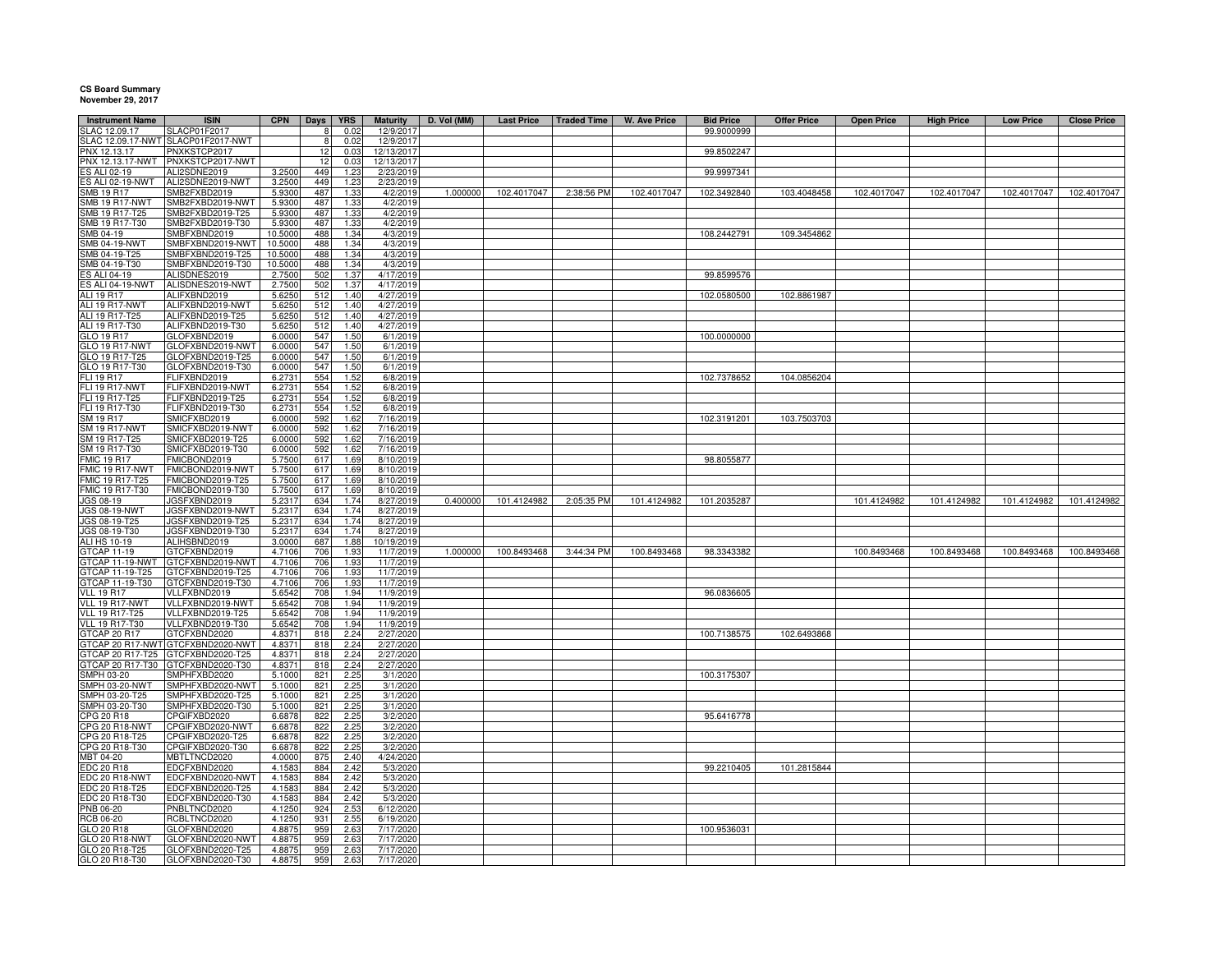## **CS Board Summary November 29, 2017**

| <b>Instrument Name</b>               | <b>ISIN</b>                          | <b>CPN</b>        | Days       | <b>YRS</b>   | <b>Maturity</b>        | D. Vol (MM) | <b>Last Price</b> | <b>Traded Time</b> | <b>W. Ave Price</b> | <b>Bid Price</b> | <b>Offer Price</b> | <b>Open Price</b> | <b>High Price</b> | <b>Low Price</b> | <b>Close Price</b> |
|--------------------------------------|--------------------------------------|-------------------|------------|--------------|------------------------|-------------|-------------------|--------------------|---------------------|------------------|--------------------|-------------------|-------------------|------------------|--------------------|
| LAC 12.09.17                         | <b>SLACP01F2017</b>                  |                   |            | 0.02         | 12/9/201               |             |                   |                    |                     | 99.9000999       |                    |                   |                   |                  |                    |
| LAC 12.09.17-NWT                     | SLACP01F2017-NWT                     |                   |            | 0.02         | 12/9/201               |             |                   |                    |                     |                  |                    |                   |                   |                  |                    |
| NX 12.13.17                          | PNXKSTCP2017                         |                   | 12         | 0.03         | 12/13/201              |             |                   |                    |                     | 99.8502247       |                    |                   |                   |                  |                    |
| PNX 12.13.17-NWT                     | PNXKSTCP2017-NWT                     |                   | 12         | 0.03         | 12/13/201              |             |                   |                    |                     |                  |                    |                   |                   |                  |                    |
| S ALI 02-19                          | ALI2SDNE2019                         | 3.2500            | 449        | 1.23         | 2/23/201               |             |                   |                    |                     | 99.9997341       |                    |                   |                   |                  |                    |
| ES ALI 02-19-NWT<br>SMB 19 R17       | ALI2SDNE2019-NWT<br>SMB2FXBD2019     | 3.2500<br>5.9300  | 449<br>487 | 1.23<br>1.33 | 2/23/2019<br>4/2/2019  | 1.000000    | 102.4017047       | 2:38:56 PM         | 102.4017047         | 102.3492840      | 103.4048458        | 102.4017047       | 102.4017047       | 102.4017047      | 102.4017047        |
| <b>SMB 19 R17-NWT</b>                | SMB2FXBD2019-NWT                     | 5.9300            | 487        | 1.33         | 4/2/2019               |             |                   |                    |                     |                  |                    |                   |                   |                  |                    |
| SMB 19 R17-T25                       | SMB2FXBD2019-T25                     | 5.9300            | 487        | 1.33         | 4/2/2019               |             |                   |                    |                     |                  |                    |                   |                   |                  |                    |
| SMB 19 R17-T30                       | SMB2FXBD2019-T30                     | 5.9300            | 487        | 1.33         | 4/2/2019               |             |                   |                    |                     |                  |                    |                   |                   |                  |                    |
| SMB 04-19                            | SMBFXBND2019                         | 10.5000           | 488        | 1.34         | 4/3/2019               |             |                   |                    |                     | 108.2442791      | 109.3454862        |                   |                   |                  |                    |
| SMB 04-19-NWT                        | SMBFXBND2019-NWT                     | 10.5000           | 488        | 1.34         | 4/3/2019               |             |                   |                    |                     |                  |                    |                   |                   |                  |                    |
| SMB 04-19-T25                        | SMBFXBND2019-T25                     | 10.5000           | 488        | 1.34         | 4/3/2019               |             |                   |                    |                     |                  |                    |                   |                   |                  |                    |
| SMB 04-19-T30<br>S ALI 04-19         | SMBFXBND2019-T30<br>ALISDNES2019     | 10.5000<br>2.7500 | 488<br>502 | 1.34<br>1.37 | 4/3/2019<br>4/17/2019  |             |                   |                    |                     | 99.8599576       |                    |                   |                   |                  |                    |
| <b>ES ALI 04-19-NWT</b>              | ALISDNES2019-NWT                     | 2.7500            | 502        | 1.37         | 4/17/2019              |             |                   |                    |                     |                  |                    |                   |                   |                  |                    |
| ALI 19 R17                           | ALIFXBND2019                         | 5.6250            | 512        | 1.40         | 4/27/2019              |             |                   |                    |                     | 102.0580500      | 102.8861987        |                   |                   |                  |                    |
| ALI 19 R17-NWT                       | ALIFXBND2019-NWT                     | 5.6250            | 512        | 1.40         | 4/27/2019              |             |                   |                    |                     |                  |                    |                   |                   |                  |                    |
| ALI 19 R17-T25                       | ALIFXBND2019-T25                     | 5.6250            | 512        | 1.40         | 4/27/2019              |             |                   |                    |                     |                  |                    |                   |                   |                  |                    |
| ALI 19 R17-T30                       | ALIFXBND2019-T30                     | 5.6250            | 512        | 1.40         | 4/27/2019              |             |                   |                    |                     |                  |                    |                   |                   |                  |                    |
| GLO 19 R17<br>GLO 19 R17-NWT         | GLOFXBND2019<br>GLOFXBND2019-NWT     | 6.0000<br>6.0000  | 547<br>547 | 1.50<br>1.50 | 6/1/2019<br>6/1/2019   |             |                   |                    |                     | 100.0000000      |                    |                   |                   |                  |                    |
| GLO 19 R17-T25                       | GLOFXBND2019-T25                     | 6.0000            | 547        | 1.50         | 6/1/2019               |             |                   |                    |                     |                  |                    |                   |                   |                  |                    |
| GLO 19 R17-T30                       | GLOFXBND2019-T30                     | 6.0000            | 547        | 1.50         | 6/1/2019               |             |                   |                    |                     |                  |                    |                   |                   |                  |                    |
| FLI 19 R17                           | <b>LIFXBND2019</b>                   | 6.2731            | 554        | 1.52         | 6/8/2019               |             |                   |                    |                     | 102.7378652      | 104.0856204        |                   |                   |                  |                    |
| FLI 19 R17-NWT                       | FLIFXBND2019-NWT                     | 6.2731            | 554        | 1.52         | 6/8/2019               |             |                   |                    |                     |                  |                    |                   |                   |                  |                    |
| FLI 19 R17-T25                       | -LIFXBND2019-T25                     | 6.2731            | 554        | 1.52         | 6/8/2019               |             |                   |                    |                     |                  |                    |                   |                   |                  |                    |
| FLI 19 R17-T30                       | FLIFXBND2019-T30                     | 6.2731            | 554        | 1.52         | 6/8/2019               |             |                   |                    |                     |                  |                    |                   |                   |                  |                    |
| SM 19 R17<br><b>SM 19 R17-NWT</b>    | SMICFXBD2019<br>SMICFXBD2019-NWT     | 6.0000<br>6.0000  | 592<br>592 | 1.62<br>1.62 | 7/16/2019<br>7/16/2019 |             |                   |                    |                     | 102.3191201      | 103.7503703        |                   |                   |                  |                    |
| SM 19 R17-T25                        | SMICFXBD2019-T25                     | 6.0000            | 592        | 1.62         | 7/16/201               |             |                   |                    |                     |                  |                    |                   |                   |                  |                    |
| SM 19 R17-T30                        | SMICFXBD2019-T30                     | 6.0000            | 592        | 1.62         | 7/16/2019              |             |                   |                    |                     |                  |                    |                   |                   |                  |                    |
| <b>FMIC 19 R17</b>                   | MICBOND2019                          | 5.7500            | 617        | 1.69         | 8/10/201               |             |                   |                    |                     | 98.8055877       |                    |                   |                   |                  |                    |
| FMIC 19 R17-NWT                      | FMICBOND2019-NWT                     | 5.7500            | 617        | 1.69         | 8/10/201               |             |                   |                    |                     |                  |                    |                   |                   |                  |                    |
| FMIC 19 R17-T25                      | FMICBOND2019-T25                     | 5.7500            | 617        | 1.69         | 8/10/201               |             |                   |                    |                     |                  |                    |                   |                   |                  |                    |
| FMIC 19 R17-T30<br>JGS 08-19         | FMICBOND2019-T30<br>JGSFXBND2019     | 5.7500<br>5.2317  | 617<br>634 | 1.69<br>1.74 | 8/10/201<br>8/27/2019  | 0.400000    | 101.4124982       | 2:05:35 PM         | 101.4124982         | 101.2035287      |                    | 101.4124982       | 101.4124982       | 101.4124982      | 101.4124982        |
| <b>JGS 08-19-NWT</b>                 | JGSFXBND2019-NWT                     | 5.2317            | 634        | 1.74         | 8/27/2019              |             |                   |                    |                     |                  |                    |                   |                   |                  |                    |
| JGS 08-19-T25                        | JGSFXBND2019-T25                     | 5.2317            | 634        | 1.74         | 8/27/2019              |             |                   |                    |                     |                  |                    |                   |                   |                  |                    |
| JGS 08-19-T30                        | JGSFXBND2019-T30                     | 5.2317            | 634        | 1.74         | 8/27/2019              |             |                   |                    |                     |                  |                    |                   |                   |                  |                    |
| <b>ALI HS 10-19</b>                  | ALIHSBND2019                         | 3.0000            | 687        | 1.88         | 10/19/201              |             |                   |                    |                     |                  |                    |                   |                   |                  |                    |
| GTCAP 11-19                          | GTCFXBND2019                         | 4.7106            | 706        | 1.93         | 11/7/2019              | 1.000000    | 100.8493468       | 3:44:34 PM         | 100.8493468         | 98.3343382       |                    | 100.8493468       | 100.8493468       | 100.8493468      | 100.8493468        |
| GTCAP 11-19-NWT                      | GTCFXBND2019-NWT<br>GTCFXBND2019-T25 | 4.7106<br>4.7106  | 706        | 1.93         | 11/7/201               |             |                   |                    |                     |                  |                    |                   |                   |                  |                    |
| GTCAP 11-19-T25<br>GTCAP 11-19-T30   | GTCFXBND2019-T30                     | 4.7106            | 706<br>706 | 1.93<br>1.93 | 11/7/2019<br>11/7/2019 |             |                   |                    |                     |                  |                    |                   |                   |                  |                    |
| <b>VLL 19 R17</b>                    | VLLFXBND2019                         | 5.6542            | 708        | 1.94         | 11/9/2019              |             |                   |                    |                     | 96.0836605       |                    |                   |                   |                  |                    |
| VLL 19 R17-NWT                       | VLLFXBND2019-NWT                     | 5.6542            | 708        | 1.94         | 11/9/2019              |             |                   |                    |                     |                  |                    |                   |                   |                  |                    |
| <b>VLL 19 R17-T25</b>                | VLLFXBND2019-T25                     | 5.6542            | 708        | 1.94         | 11/9/2019              |             |                   |                    |                     |                  |                    |                   |                   |                  |                    |
| <b>VLL 19 R17-T30</b>                | VLLFXBND2019-T30                     | 5.6542            | 708        | 1.94         | 11/9/2019              |             |                   |                    |                     |                  |                    |                   |                   |                  |                    |
| GTCAP 20 R17                         | GTCFXBND2020                         | 4.8371            | 818        | 2.24         | 2/27/2020              |             |                   |                    |                     | 100.7138575      | 102.6493868        |                   |                   |                  |                    |
| GTCAP 20 R17-NWT<br>GTCAP 20 R17-T25 | GTCFXBND2020-NWT<br>GTCFXBND2020-T25 | 4.8371<br>4.8371  | 818<br>818 | 2.24<br>2.24 | 2/27/2020<br>2/27/2020 |             |                   |                    |                     |                  |                    |                   |                   |                  |                    |
| STCAP 20 R17-T30                     | TCFXBND2020-T30                      | 4.8371            | 818        | 2.24         | 2/27/2020              |             |                   |                    |                     |                  |                    |                   |                   |                  |                    |
| SMPH 03-20                           | MPHFXBD2020                          | 5.1000            | 821        | 2.25         | 3/1/2020               |             |                   |                    |                     | 100.3175307      |                    |                   |                   |                  |                    |
| SMPH 03-20-NWT                       | SMPHFXBD2020-NWT                     | 5.1000            | 821        | 2.25         | 3/1/2020               |             |                   |                    |                     |                  |                    |                   |                   |                  |                    |
| MPH 03-20-T25                        | SMPHFXBD2020-T25                     | 5.1000            | 821        | 2.25         | 3/1/2020               |             |                   |                    |                     |                  |                    |                   |                   |                  |                    |
| SMPH 03-20-T30                       | SMPHFXBD2020-T30                     | 5.1000            | 821        | 2.25         | 3/1/2020               |             |                   |                    |                     |                  |                    |                   |                   |                  |                    |
| CPG 20 R18                           | CPGIFXBD2020                         | 6.6878            | 822        | 2.25         | 3/2/2020               |             |                   |                    |                     | 95.6416778       |                    |                   |                   |                  |                    |
| CPG 20 R18-NWT<br>CPG 20 R18-T25     | CPGIFXBD2020-NWT<br>CPGIFXBD2020-T25 | 6.6878<br>6.6878  | 822<br>822 | 2.25<br>2.25 | 3/2/2020<br>3/2/2020   |             |                   |                    |                     |                  |                    |                   |                   |                  |                    |
| CPG 20 R18-T30                       | CPGIFXBD2020-T30                     | 6.6878            | 822        | 2.25         | 3/2/2020               |             |                   |                    |                     |                  |                    |                   |                   |                  |                    |
| MBT 04-20                            | <b>MBTLTNCD2020</b>                  | 4.0000            | 875        | 2.40         | 4/24/2020              |             |                   |                    |                     |                  |                    |                   |                   |                  |                    |
| <b>EDC 20 R18</b>                    | EDCFXBND2020                         | 4.1583            | 884        | 2.42         | 5/3/2020               |             |                   |                    |                     | 99.2210405       | 101.2815844        |                   |                   |                  |                    |
| DC 20 R18-NWT                        | EDCFXBND2020-NWT                     | 4.1583            | 884        | 2.42         | 5/3/2020               |             |                   |                    |                     |                  |                    |                   |                   |                  |                    |
| EDC 20 R18-T25                       | EDCFXBND2020-T25                     | 4.1583            | 884        | 2.42         | 5/3/2020               |             |                   |                    |                     |                  |                    |                   |                   |                  |                    |
| EDC 20 R18-T30<br>PNB 06-20          | EDCFXBND2020-T30<br>PNBLTNCD2020     | 4.1583<br>4.1250  | 884<br>924 | 2.42<br>2.53 | 5/3/2020<br>6/12/2020  |             |                   |                    |                     |                  |                    |                   |                   |                  |                    |
| <b>RCB 06-20</b>                     | RCBLTNCD2020                         | 4.1250            | 931        | 2.55         | 6/19/2020              |             |                   |                    |                     |                  |                    |                   |                   |                  |                    |
| GLO 20 R18                           | GLOFXBND2020                         | 4.8875            | 959        | 2.63         | 7/17/2020              |             |                   |                    |                     | 100.9536031      |                    |                   |                   |                  |                    |
| GLO 20 R18-NWT                       | GLOFXBND2020-NWT                     | 4.8875            | 959        | 2.63         | 7/17/2020              |             |                   |                    |                     |                  |                    |                   |                   |                  |                    |
| GLO 20 R18-T25                       | GLOFXBND2020-T25                     | 4.8875            | 959        | 2.63         | 7/17/202               |             |                   |                    |                     |                  |                    |                   |                   |                  |                    |
| GLO 20 R18-T30                       | GLOFXBND2020-T30                     | 4.8875            | 959        | 2.63         | 7/17/2020              |             |                   |                    |                     |                  |                    |                   |                   |                  |                    |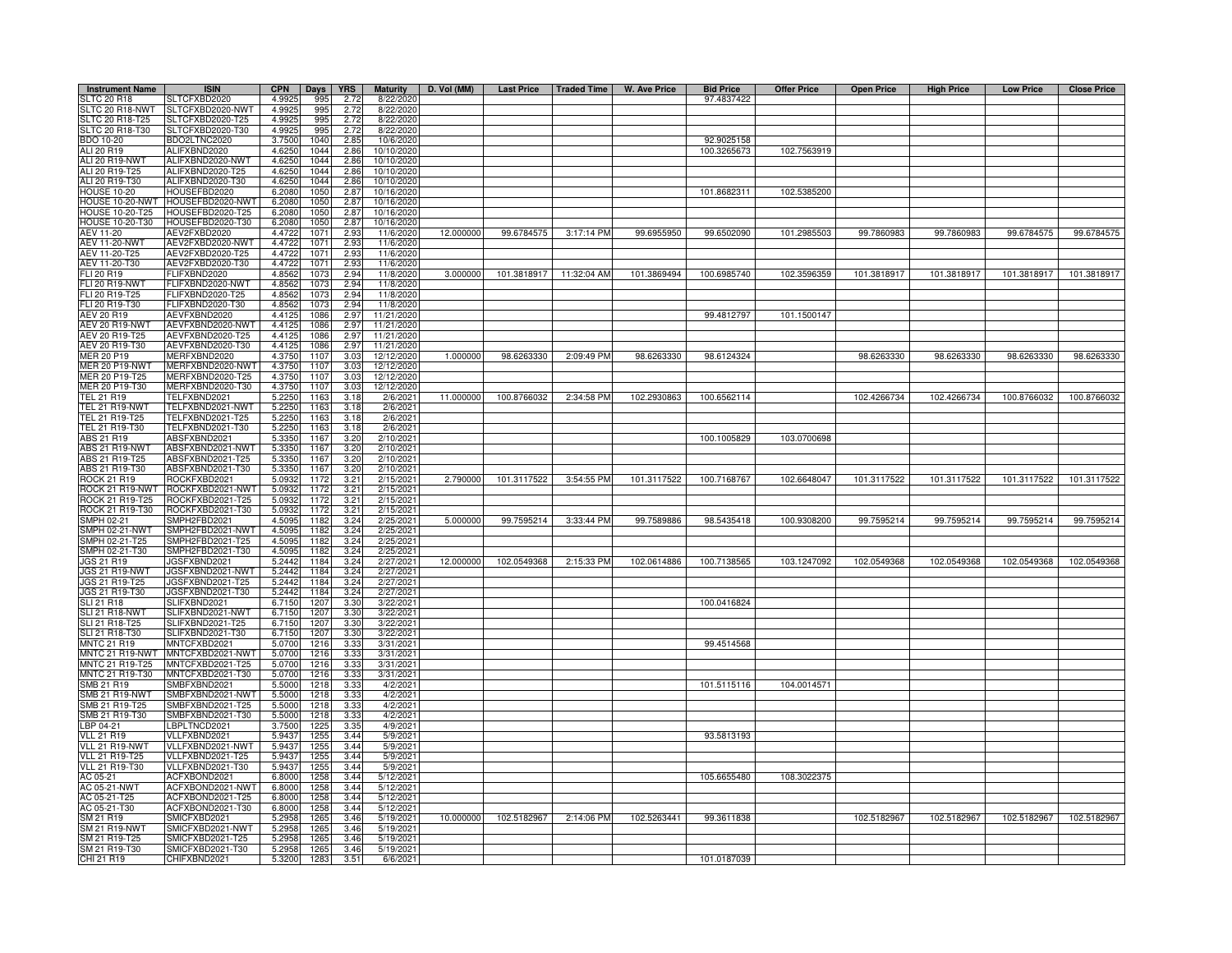| <b>Instrument Name</b>                           | <b>ISIN</b>                          | <b>CPN</b>       | <b>Days</b>  | <b>YRS</b>   | <b>Maturity</b>          |           |             |                         | D. Vol (MM) Last Price   Traded Time   W. Ave Price | <b>Bid Price</b> | <b>Offer Price</b> | <b>Open Price</b> | <b>High Price</b> | <b>Low Price</b> | <b>Close Price</b> |
|--------------------------------------------------|--------------------------------------|------------------|--------------|--------------|--------------------------|-----------|-------------|-------------------------|-----------------------------------------------------|------------------|--------------------|-------------------|-------------------|------------------|--------------------|
| <b>SLTC 20 R18</b>                               | LTCFXBD2020                          | 4.9925           | 995          | 2.72         | 8/22/2020                |           |             |                         |                                                     | 97.4837422       |                    |                   |                   |                  |                    |
| SLTC 20 R18-NWT                                  | LTCFXBD2020-NWT                      | 4.9925           | 995          | 2.72         | 8/22/2020                |           |             |                         |                                                     |                  |                    |                   |                   |                  |                    |
| SLTC 20 R18-T25<br>SLTC 20 R18-T30               | SLTCFXBD2020-T25<br>SLTCFXBD2020-T30 | 4.9925<br>4.9925 | 995<br>995   | 2.72<br>2.72 | 8/22/2020<br>8/22/2020   |           |             |                         |                                                     |                  |                    |                   |                   |                  |                    |
| <b>BDO 10-20</b>                                 | BDO2LTNC2020                         | 3.7500           | 1040         | 2.85         | 10/6/2020                |           |             |                         |                                                     | 92.9025158       |                    |                   |                   |                  |                    |
| ALI 20 R19                                       | ALIFXBND2020                         | 4.6250           | 1044         | 2.86         | 10/10/2020               |           |             |                         |                                                     | 100.3265673      | 102.7563919        |                   |                   |                  |                    |
| ALI 20 R19-NWT                                   | ALIFXBND2020-NWT                     | 4.6250           | 1044         | 2.86         | 10/10/2020               |           |             |                         |                                                     |                  |                    |                   |                   |                  |                    |
| ALI 20 R19-T25                                   | ALIFXBND2020-T25                     | 4.6250           | 1044         | 2.86         | 10/10/2020               |           |             |                         |                                                     |                  |                    |                   |                   |                  |                    |
| ALI 20 R19-T30                                   | ALIFXBND2020-T30                     | 4.625            | 1044         | 2.86         | 10/10/2020               |           |             |                         |                                                     |                  |                    |                   |                   |                  |                    |
| <b>HOUSE 10-20</b>                               | HOUSEFBD2020                         | 6.2080           | 1050         | 2.87         | 10/16/2020               |           |             |                         |                                                     | 101.8682311      | 102.5385200        |                   |                   |                  |                    |
| HOUSE 10-20-NWT                                  | HOUSEFBD2020-NWT                     | 6.2080           | 1050         | 2.87         | 10/16/2020               |           |             |                         |                                                     |                  |                    |                   |                   |                  |                    |
| <b>HOUSE 10-20-T25</b><br><b>HOUSE 10-20-T30</b> | HOUSEFBD2020-T25<br>HOUSEFBD2020-T30 | 6.2080<br>6.2080 | 1050<br>1050 | 2.87<br>2.87 | 10/16/2020<br>10/16/2020 |           |             |                         |                                                     |                  |                    |                   |                   |                  |                    |
| AEV 11-20                                        | AEV2FXBD2020                         | 4.4722           | 1071         | 2.93         | 11/6/2020                | 12.000000 | 99.6784575  | 3:17:14 PM              | 99.6955950                                          | 99.6502090       | 101.2985503        | 99.7860983        | 99.7860983        | 99.6784575       | 99.6784575         |
| <b>AEV 11-20-NWT</b>                             | AEV2FXBD2020-NWT                     | 4.4722           | 107          | 2.93         | 11/6/2020                |           |             |                         |                                                     |                  |                    |                   |                   |                  |                    |
| AEV 11-20-T25                                    | AEV2FXBD2020-T25                     | 4.4722           | 1071         | 2.93         | 11/6/2020                |           |             |                         |                                                     |                  |                    |                   |                   |                  |                    |
| AEV 11-20-T30                                    | AEV2FXBD2020-T30                     | 4.4722           | 1071         | 2.93         | 11/6/2020                |           |             |                         |                                                     |                  |                    |                   |                   |                  |                    |
| FLI 20 R19                                       | FLIFXBND2020                         | 4.8562           | 1073         | 2.94         | 11/8/2020                | 3.000000  |             | 101.3818917 11:32:04 AM | 101.3869494                                         | 100.6985740      | 102.3596359        | 101.3818917       | 101.3818917       | 101.3818917      | 101.3818917        |
| FLI 20 R19-NWT                                   | FLIFXBND2020-NWT                     | 4.8562           | 1073         | 2.94         | 11/8/2020                |           |             |                         |                                                     |                  |                    |                   |                   |                  |                    |
| FLI 20 R19-T25                                   | FLIFXBND2020-T25                     | 4.8562           | 1073         | 2.94         | 11/8/2020                |           |             |                         |                                                     |                  |                    |                   |                   |                  |                    |
| FLI 20 R19-T30                                   | FLIFXBND2020-T30                     | 4.8562           | 1073         | 2.94         | 11/8/2020                |           |             |                         |                                                     |                  |                    |                   |                   |                  |                    |
| AEV 20 R19<br><b>AEV 20 R19-NWT</b>              | AEVFXBND2020<br>AEVFXBND2020-NWT     | 4.4125<br>4.4125 | 1086<br>1086 | 2.97<br>2.97 | 11/21/2020<br>11/21/2020 |           |             |                         |                                                     | 99.4812797       | 101.1500147        |                   |                   |                  |                    |
| AEV 20 R19-T25                                   | AEVFXBND2020-T25                     | 4.4125           | 1086         | 2.97         | 11/21/2020               |           |             |                         |                                                     |                  |                    |                   |                   |                  |                    |
| AEV 20 R19-T30                                   | AEVFXBND2020-T30                     | 4.4125           | 1086         | 2.97         | 11/21/2020               |           |             |                         |                                                     |                  |                    |                   |                   |                  |                    |
| <b>MER 20 P19</b>                                | MERFXBND2020                         | 4.3750           | 1107         | 3.03         | 12/12/2020               | 1.000000  | 98.6263330  | 2:09:49 PM              | 98.6263330                                          | 98.6124324       |                    | 98.6263330        | 98.6263330        | 98.6263330       | 98.6263330         |
| MER 20 P19-NWT                                   | MERFXBND2020-NWT                     | 4.3750           | 1107         | 3.03         | 12/12/2020               |           |             |                         |                                                     |                  |                    |                   |                   |                  |                    |
| MER 20 P19-T25                                   | MERFXBND2020-T25                     | 4.3750           | 1107         | 3.03         | 12/12/2020               |           |             |                         |                                                     |                  |                    |                   |                   |                  |                    |
| MER 20 P19-T30                                   | MERFXBND2020-T30                     | 4.3750           | 1107         | 3.03         | 12/12/2020               |           |             |                         |                                                     |                  |                    |                   |                   |                  |                    |
| <b>TEL 21 R19</b>                                | <b>TELFXBND2021</b>                  | 5.2250           | 1163         | 3.18         | 2/6/2021                 | 11.000000 | 100.8766032 | 2:34:58 PM              | 102.2930863                                         | 100.6562114      |                    | 102.4266734       | 102.4266734       | 100.8766032      | 100.8766032        |
| TEL 21 R19-NWT                                   | <b>TELFXBND2021-NWT</b>              | 5.2250           | 1163         | 3.18         | 2/6/2021                 |           |             |                         |                                                     |                  |                    |                   |                   |                  |                    |
| TEL 21 R19-T25                                   | ELFXBND2021-T25                      | 5.2250           | 1163         | 3.18         | 2/6/202                  |           |             |                         |                                                     |                  |                    |                   |                   |                  |                    |
| TEL 21 R19-T30<br>ABS 21 R19                     | FELFXBND2021-T30<br>ABSFXBND2021     | 5.2250           | 1163<br>1167 | 3.18         | 2/6/2021<br>2/10/2021    |           |             |                         |                                                     |                  |                    |                   |                   |                  |                    |
| ABS 21 R19-NWT                                   | ABSFXBND2021-NWT                     | 5.335<br>5.335   | 1167         | 3.20<br>3.20 | 2/10/2021                |           |             |                         |                                                     | 100.1005829      | 103.0700698        |                   |                   |                  |                    |
| ABS 21 R19-T25                                   | ABSFXBND2021-T25                     | 5.335            | 1167         | 3.20         | 2/10/2021                |           |             |                         |                                                     |                  |                    |                   |                   |                  |                    |
| ABS 21 R19-T30                                   | ABSFXBND2021-T30                     | 5.335            | 1167         | 3.20         | 2/10/2021                |           |             |                         |                                                     |                  |                    |                   |                   |                  |                    |
| <b>ROCK 21 R19</b>                               | ROCKFXBD2021                         | 5.0932           | 1172         | 3.21         | 2/15/2021                | 2.790000  | 101.3117522 | 3:54:55 PM              | 101.3117522                                         | 100.7168767      | 102.6648047        | 101.3117522       | 101.3117522       | 101.3117522      | 101.3117522        |
| ROCK 21 R19-NWT                                  | ROCKFXBD2021-NWT                     | 5.0932           | 1172         | 3.21         | 2/15/2021                |           |             |                         |                                                     |                  |                    |                   |                   |                  |                    |
| ROCK 21 R19-T25                                  | ROCKFXBD2021-T25                     | 5.0932           | 1172         | 3.21         | 2/15/2021                |           |             |                         |                                                     |                  |                    |                   |                   |                  |                    |
| ROCK 21 R19-T30                                  | ROCKFXBD2021-T30                     | 5.0932           | 1172         | 3.21         | 2/15/2021                |           |             |                         |                                                     |                  |                    |                   |                   |                  |                    |
| SMPH 02-21                                       | MPH2FBD2021                          | 4.5095           | 1182         | 3.24         | 2/25/2021                | 5.000000  | 99.7595214  | 3:33:44 PM              | 99.7589886                                          | 98.5435418       | 100.9308200        | 99.7595214        | 99.7595214        | 99.7595214       | 99.7595214         |
| SMPH 02-21-NWT                                   | MPH2FBD2021-NWT                      | 4.5095           | 1182         | 3.24         | 2/25/202                 |           |             |                         |                                                     |                  |                    |                   |                   |                  |                    |
| SMPH 02-21-T25<br>SMPH 02-21-T30                 | MPH2FBD2021-T25<br>SMPH2FBD2021-T30  | 4.5095<br>4.5095 | 1182<br>1182 | 3.24<br>3.24 | 2/25/202<br>2/25/202     |           |             |                         |                                                     |                  |                    |                   |                   |                  |                    |
| <b>JGS 21 R19</b>                                | <b>JGSFXBND2021</b>                  | 5.2442           | 1184         | 3.24         | 2/27/2021                | 12.000000 | 102.0549368 | 2:15:33 PM              | 102.0614886                                         | 100.7138565      | 103.1247092        | 102.0549368       | 102.0549368       | 102.0549368      | 102.0549368        |
| JGS 21 R19-NWT                                   | JGSFXBND2021-NWT                     | 5.2442           | 1184         | 3.24         | 2/27/202                 |           |             |                         |                                                     |                  |                    |                   |                   |                  |                    |
| JGS 21 R19-T25                                   | JGSFXBND2021-T25                     | 5.2442           | 1184         | 3.24         | 2/27/2021                |           |             |                         |                                                     |                  |                    |                   |                   |                  |                    |
| JGS 21 R19-T30                                   | IGSFXBND2021-T30                     | 5.2442           | 1184         | 3.24         | 2/27/2021                |           |             |                         |                                                     |                  |                    |                   |                   |                  |                    |
| SLI 21 R18                                       | SLIFXBND2021                         | 6.7150           | 1207         | 3.30         | 3/22/2021                |           |             |                         |                                                     | 100.0416824      |                    |                   |                   |                  |                    |
| SLI 21 R18-NWT                                   | SLIFXBND2021-NWT                     | 6.7150           | 1207         | 3.30         | 3/22/2021                |           |             |                         |                                                     |                  |                    |                   |                   |                  |                    |
| SLI 21 R18-T25                                   | SLIFXBND2021-T25                     | 6.7150           | 1207         | 3.30         | 3/22/2021                |           |             |                         |                                                     |                  |                    |                   |                   |                  |                    |
| SLI 21 R18-T30                                   | SLIFXBND2021-T30                     | 6.7150           | 1207         | 3.30         | 3/22/2021                |           |             |                         |                                                     |                  |                    |                   |                   |                  |                    |
| <b>MNTC 21 R19</b>                               | MNTCFXBD2021                         | 5.0700           | 1216         | 3.33         | 3/31/2021                |           |             |                         |                                                     | 99.4514568       |                    |                   |                   |                  |                    |
| MNTC 21 R19-NWT<br>MNTC 21 R19-T25               | MNTCFXBD2021-NWT<br>MNTCFXBD2021-T25 | 5.0700<br>5.0700 | 1216<br>1216 | 3.33<br>3.33 | 3/31/2021<br>3/31/2021   |           |             |                         |                                                     |                  |                    |                   |                   |                  |                    |
| MNTC 21 R19-T30                                  | MNTCFXBD2021-T30                     | 5.0700           | 1216         | 3.33         | 3/31/2021                |           |             |                         |                                                     |                  |                    |                   |                   |                  |                    |
| SMB 21 R19                                       | MBFXBND2021                          | 5.5000           | 1218         | 3.33         | 4/2/2021                 |           |             |                         |                                                     | 101.5115116      | 104.0014571        |                   |                   |                  |                    |
| SMB 21 R19-NWT                                   | MBFXBND2021-NWT                      | 5.5000           | 1218         | 3.33         | 4/2/202                  |           |             |                         |                                                     |                  |                    |                   |                   |                  |                    |
| SMB 21 R19-T25                                   | MBFXBND2021-T25                      | 5.5000           | 1218         | 3.33         | 4/2/2021                 |           |             |                         |                                                     |                  |                    |                   |                   |                  |                    |
| SMB 21 R19-T30                                   | MBFXBND2021-T30                      | 5.5000           | 1218         | 3.33         | 4/2/2021                 |           |             |                         |                                                     |                  |                    |                   |                   |                  |                    |
| LBP 04-21                                        | BPLTNCD2021                          | 3.7500           | 122          | 3.35         | 4/9/2021                 |           |             |                         |                                                     |                  |                    |                   |                   |                  |                    |
| <b>VLL 21 R19</b>                                | VLLFXBND2021                         | 5.9437           | 125          | 3.44         | 5/9/2021                 |           |             |                         |                                                     | 93.5813193       |                    |                   |                   |                  |                    |
| VLL 21 R19-NWT                                   | VLLFXBND2021-NWT                     | 5.9437           | 125          | 3.44         | 5/9/2021                 |           |             |                         |                                                     |                  |                    |                   |                   |                  |                    |
| <b>VLL 21 R19-T25</b>                            | VLLFXBND2021-T25<br>VLLFXBND2021-T30 | 5.9437           | 1255         | 3.44         | 5/9/2021                 |           |             |                         |                                                     |                  |                    |                   |                   |                  |                    |
| VLL 21 R19-T30<br>AC 05-21                       | ACFXBOND2021                         | 5.9437<br>6.8000 | 1255<br>1258 | 3.44<br>3.44 | 5/9/2021<br>5/12/2021    |           |             |                         |                                                     | 105.6655480      | 108.3022375        |                   |                   |                  |                    |
| AC 05-21-NWT                                     | ACFXBOND2021-NWT                     | 6.8000           | 1258         | 3.44         | 5/12/2021                |           |             |                         |                                                     |                  |                    |                   |                   |                  |                    |
| AC 05-21-T25                                     | ACFXBOND2021-T25                     | 6.8000           | 1258         | 3.44         | 5/12/202                 |           |             |                         |                                                     |                  |                    |                   |                   |                  |                    |
| AC 05-21-T30                                     | ACFXBOND2021-T30                     | 6.8000           | 1258         | 3.44         | 5/12/202                 |           |             |                         |                                                     |                  |                    |                   |                   |                  |                    |
| SM 21 R19                                        | SMICFXBD2021                         | 5.2958           | 1265         | 3.46         | 5/19/2021                | 10.000000 | 102.5182967 | 2:14:06 PM              | 102.5263441                                         | 99.3611838       |                    | 102.5182967       | 102.5182967       | 102.5182967      | 102.5182967        |
| <b>SM 21 R19-NWT</b>                             | MICFXBD2021-NWT                      | 5.2958           | 126          | 3.46         | 5/19/202                 |           |             |                         |                                                     |                  |                    |                   |                   |                  |                    |
| SM 21 R19-T25                                    | SMICFXBD2021-T25                     | 5.2958           | 1265         | 3.46         | 5/19/2021                |           |             |                         |                                                     |                  |                    |                   |                   |                  |                    |
| SM 21 R19-T30                                    | SMICFXBD2021-T30                     | 5.2958           | 126          | 3.46         | 5/19/2021                |           |             |                         |                                                     |                  |                    |                   |                   |                  |                    |
| CHI 21 R19                                       | CHIFXBND2021                         | 5.3200           | 1283         | 3.51         | 6/6/2021                 |           |             |                         |                                                     | 101.0187039      |                    |                   |                   |                  |                    |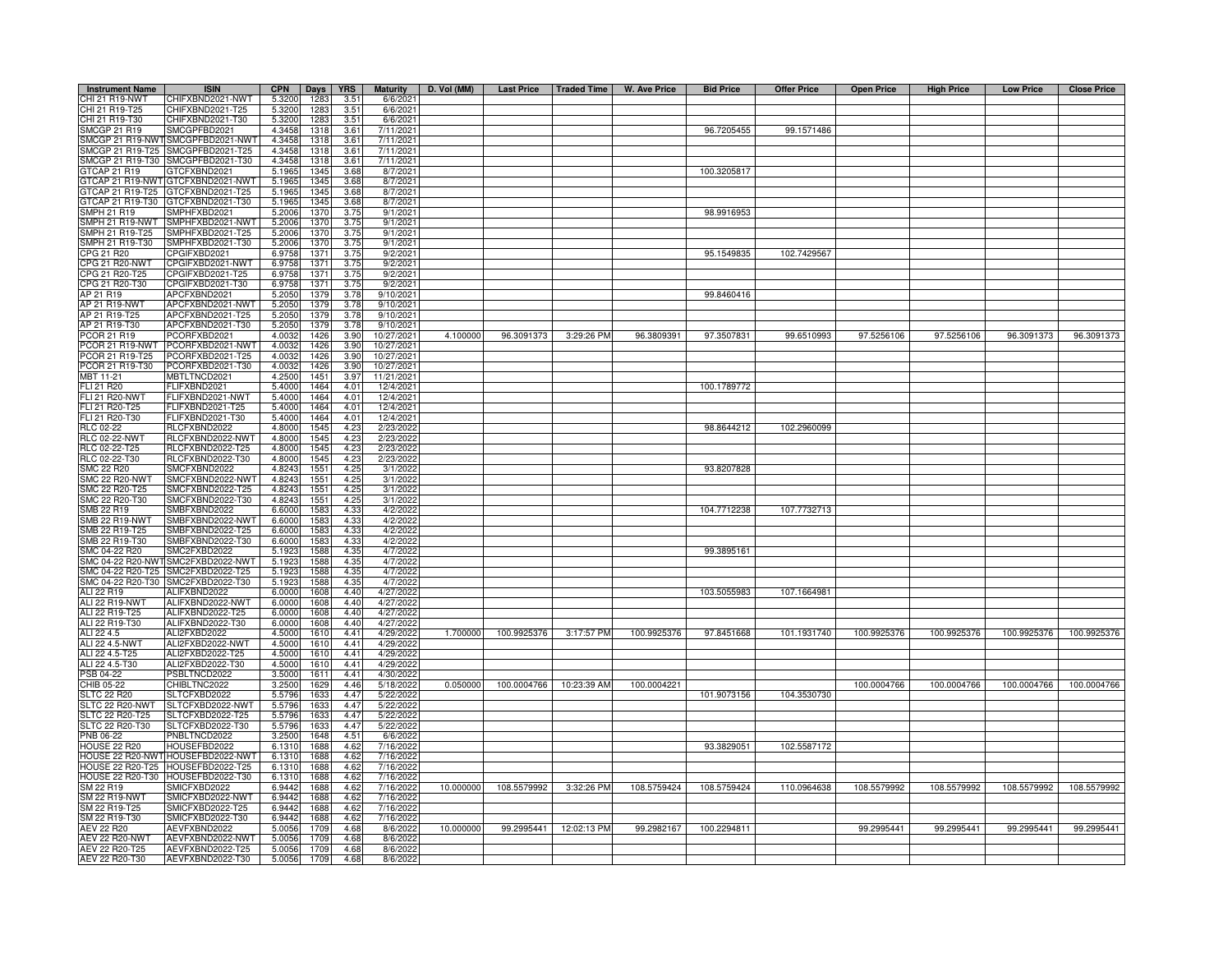| <b>Instrument Name</b>             | <b>ISIN</b>                                                            | <b>CPN</b>       | Days         | <b>YRS</b>    | <b>Maturity</b>          | D. Vol (MM) |             |                        | Last Price   Traded Time   W. Ave Price | <b>Bid Price</b> | <b>Offer Price</b> | <b>Open Price</b> | <b>High Price</b> | <b>Low Price</b> | <b>Close Price</b> |
|------------------------------------|------------------------------------------------------------------------|------------------|--------------|---------------|--------------------------|-------------|-------------|------------------------|-----------------------------------------|------------------|--------------------|-------------------|-------------------|------------------|--------------------|
| CHI 21 R19-NWT                     | CHIFXBND2021-NWT                                                       | 5.3200           | 1283         | 3.51          | 6/6/2021                 |             |             |                        |                                         |                  |                    |                   |                   |                  |                    |
| CHI 21 R19-T25                     | CHIFXBND2021-T25                                                       | 5.3200           | 1283         | 3.51          | 6/6/2021                 |             |             |                        |                                         |                  |                    |                   |                   |                  |                    |
| CHI 21 R19-T30                     | CHIFXBND2021-T30                                                       | 5.3200           | 1283         | 3.51          | 6/6/2021                 |             |             |                        |                                         |                  |                    |                   |                   |                  |                    |
| SMCGP 21 R19                       | SMCGPFBD2021                                                           | 4.3458           | 1318         | 3.61          | 7/11/2021                |             |             |                        |                                         | 96.7205455       | 99.1571486         |                   |                   |                  |                    |
|                                    | SMCGP 21 R19-NWT SMCGPFBD2021-NWT<br>SMCGP 21 R19-T25 SMCGPFBD2021-T25 | 4.3458<br>4.3458 | 1318<br>1318 | 3.61<br>3.61  | 7/11/2021<br>7/11/2021   |             |             |                        |                                         |                  |                    |                   |                   |                  |                    |
| SMCGP 21 R19-T30                   | SMCGPFBD2021-T30                                                       | 4.3458           | 1318         | 3.61          | 7/11/2021                |             |             |                        |                                         |                  |                    |                   |                   |                  |                    |
| GTCAP 21 R19                       | GTCFXBND2021                                                           | 5.1965           | 1345         | 3.68          | 8/7/2021                 |             |             |                        |                                         | 100.3205817      |                    |                   |                   |                  |                    |
| GTCAP 21 R19-NWT                   | GTCFXBND2021-NWT                                                       | 5.1965           | 1345         | 3.68          | 8/7/202                  |             |             |                        |                                         |                  |                    |                   |                   |                  |                    |
| TCAP 21 R19-T25                    | GTCFXBND2021-T25                                                       | 5.1965           | 1345         | 3.68          | 8/7/2021                 |             |             |                        |                                         |                  |                    |                   |                   |                  |                    |
| TCAP 21 R19-T30                    | GTCFXBND2021-T30                                                       | 5.1965           | 1345         | 3.68          | 8/7/2021                 |             |             |                        |                                         |                  |                    |                   |                   |                  |                    |
| MPH 21 R19                         | SMPHFXBD2021                                                           | 5.2006           | 1370         | 3.75          | 9/1/2021                 |             |             |                        |                                         | 98.9916953       |                    |                   |                   |                  |                    |
| SMPH 21 R19-NWT                    | SMPHFXBD2021-NWT                                                       | 5.2006           | 1370         | 3.75          | 9/1/2021                 |             |             |                        |                                         |                  |                    |                   |                   |                  |                    |
| SMPH 21 R19-T25                    | SMPHFXBD2021-T25                                                       | 5.2006           | 1370         | 3.75          | 9/1/2021                 |             |             |                        |                                         |                  |                    |                   |                   |                  |                    |
| SMPH 21 R19-T30                    | SMPHFXBD2021-T30                                                       | 5.2006           | 1370         | 3.75          | 9/1/2021                 |             |             |                        |                                         |                  |                    |                   |                   |                  |                    |
| CPG 21 R20<br><b>PG 21 R20-NWT</b> | CPGIFXBD2021<br>CPGIFXBD2021-NWT                                       | 6.9758<br>6.9758 | 1371<br>1371 | 3.75<br>3.75  | 9/2/2021<br>9/2/2021     |             |             |                        |                                         | 95.1549835       | 102.7429567        |                   |                   |                  |                    |
| CPG 21 R20-T25                     | CPGIFXBD2021-T25                                                       | 6.9758           | 1371         | 3.75          | 9/2/202                  |             |             |                        |                                         |                  |                    |                   |                   |                  |                    |
| PG 21 R20-T30                      | CPGIFXBD2021-T30                                                       | 6.975            | 1371         | 3.75          | 9/2/202                  |             |             |                        |                                         |                  |                    |                   |                   |                  |                    |
| AP 21 R19                          | APCFXBND2021                                                           | 5.2050           | 1379         | 3.78          | 9/10/2021                |             |             |                        |                                         | 99.8460416       |                    |                   |                   |                  |                    |
| AP 21 R19-NWT                      | APCFXBND2021-NWT                                                       | 5.2050           | 1379         | 3.78          | 9/10/2021                |             |             |                        |                                         |                  |                    |                   |                   |                  |                    |
| AP 21 R19-T25                      | APCFXBND2021-T25                                                       | 5.2050           | 1379         | 3.78          | 9/10/2021                |             |             |                        |                                         |                  |                    |                   |                   |                  |                    |
| AP 21 R19-T30                      | APCFXBND2021-T30                                                       | 5.2050           | 1379         | 3.78          | 9/10/202                 |             |             |                        |                                         |                  |                    |                   |                   |                  |                    |
| PCOR 21 R19                        | PCORFXBD2021                                                           | 4.0032           | 1426         | 3.90          | 10/27/2021               | 4.100000    | 96.3091373  | 3:29:26 PM             | 96.3809391                              | 97.3507831       | 99.6510993         | 97.5256106        | 97.5256106        | 96.3091373       | 96.3091373         |
|                                    | PCOR 21 R19-NWT PCORFXBD2021-NWT                                       | 4.0032           | 1426         | 3.90          | 10/27/2021               |             |             |                        |                                         |                  |                    |                   |                   |                  |                    |
| PCOR 21 R19-T25                    | PCORFXBD2021-T25                                                       | 4.0032           | 1426         | 3.90          | 10/27/2021               |             |             |                        |                                         |                  |                    |                   |                   |                  |                    |
| PCOR 21 R19-T30<br>MBT 11-21       | PCORFXBD2021-T30<br>MBTLTNCD2021                                       | 4.0032<br>4.2500 | 1426<br>1451 | 3.90<br>3.97  | 10/27/2021<br>11/21/2021 |             |             |                        |                                         |                  |                    |                   |                   |                  |                    |
| FLI 21 R20                         | FLIFXBND2021                                                           | 5.4000           | 1464         | 4.01          | 12/4/2021                |             |             |                        |                                         | 100.1789772      |                    |                   |                   |                  |                    |
| FLI 21 R20-NWT                     | FLIFXBND2021-NWT                                                       | 5.4000           | 1464         | 4.01          | 12/4/2021                |             |             |                        |                                         |                  |                    |                   |                   |                  |                    |
| FLI 21 R20-T25                     | FLIFXBND2021-T25                                                       | 5.4000           | 1464         | 4.01          | 12/4/2021                |             |             |                        |                                         |                  |                    |                   |                   |                  |                    |
| FLI 21 R20-T30                     | FLIFXBND2021-T30                                                       | 5.4000           | 1464         | 4.01          | 12/4/2021                |             |             |                        |                                         |                  |                    |                   |                   |                  |                    |
| RLC 02-22                          | RLCFXBND2022                                                           | 4.800            | 1545         | 4.23          | 2/23/2022                |             |             |                        |                                         | 98.8644212       | 102.2960099        |                   |                   |                  |                    |
| <b>RLC 02-22-NWT</b>               | RLCFXBND2022-NWT                                                       | 4.800            | 1545         | 4.23          | 2/23/2022                |             |             |                        |                                         |                  |                    |                   |                   |                  |                    |
| RLC 02-22-T25                      | RLCFXBND2022-T25                                                       | 4.8000           | 1545         | 4.23          | 2/23/2022                |             |             |                        |                                         |                  |                    |                   |                   |                  |                    |
| RLC 02-22-T30                      | RLCFXBND2022-T30                                                       | 4.8000           | 1545         | 4.23          | 2/23/2022                |             |             |                        |                                         |                  |                    |                   |                   |                  |                    |
| MC 22 R20<br>SMC 22 R20-NWT        | SMCFXBND2022<br>SMCFXBND2022-NWT                                       | 4.824<br>4.824   | 155<br>1551  | 4.2<br>4.25   | 3/1/202<br>3/1/2022      |             |             |                        |                                         | 93.8207828       |                    |                   |                   |                  |                    |
| MC 22 R20-T25                      | SMCFXBND2022-T25                                                       | 4.824            | 1551         | 4.25          | 3/1/2022                 |             |             |                        |                                         |                  |                    |                   |                   |                  |                    |
| SMC 22 R20-T30                     | SMCFXBND2022-T30                                                       | 4.8243           | 1551         | 4.25          | 3/1/2022                 |             |             |                        |                                         |                  |                    |                   |                   |                  |                    |
| SMB 22 R19                         | SMBFXBND2022                                                           | 6.6000           | 1583         | 4.33          | 4/2/2022                 |             |             |                        |                                         | 104.7712238      | 107.7732713        |                   |                   |                  |                    |
| MB 22 R19-NWT                      | SMBFXBND2022-NWT                                                       | 6.6000           | 1583         | 4.33          | 4/2/2022                 |             |             |                        |                                         |                  |                    |                   |                   |                  |                    |
| MB 22 R19-T25                      | SMBFXBND2022-T25                                                       | 6.600            | 1583         | 4.33          | 4/2/2022                 |             |             |                        |                                         |                  |                    |                   |                   |                  |                    |
| MB 22 R19-T30                      | SMBFXBND2022-T30                                                       | 6.600            | 1583         | $4.3^{\circ}$ | 4/2/2022                 |             |             |                        |                                         |                  |                    |                   |                   |                  |                    |
| MC 04-22 R20                       | SMC2FXBD2022                                                           | 5.192            | 1588         | 4.35          | 4/7/2022                 |             |             |                        |                                         | 99.3895161       |                    |                   |                   |                  |                    |
|                                    | MC 04-22 R20-NWTSMC2FXBD2022-NWT<br>MC 04-22 R20-T25 SMC2FXBD2022-T25  | 5.192<br>5.192   | 1588<br>1588 | 4.35<br>4.35  | 4/7/2022<br>4/7/2022     |             |             |                        |                                         |                  |                    |                   |                   |                  |                    |
|                                    | MC 04-22 R20-T30 SMC2FXBD2022-T30                                      | 5.1923           | 1588         | 4.35          | 4/7/2022                 |             |             |                        |                                         |                  |                    |                   |                   |                  |                    |
| ALI 22 R19                         | ALIFXBND2022                                                           | 6.000            | 1608         | 4.40          | 4/27/202                 |             |             |                        |                                         | 103.5055983      | 107.1664981        |                   |                   |                  |                    |
| <b>ALI 22 R19-NWT</b>              | ALIFXBND2022-NWT                                                       | 6.0000           | 1608         | 4.40          | 4/27/2022                |             |             |                        |                                         |                  |                    |                   |                   |                  |                    |
| ALI 22 R19-T25                     | ALIFXBND2022-T25                                                       | 6.0000           | 1608         | 4.40          | 4/27/202                 |             |             |                        |                                         |                  |                    |                   |                   |                  |                    |
| ALI 22 R19-T30                     | ALIFXBND2022-T30                                                       | 6.0000           | 1608         | 4.40          | 4/27/2022                |             |             |                        |                                         |                  |                    |                   |                   |                  |                    |
| ALI 22 4.5                         | ALI2FXBD2022                                                           | 4.5000           | 1610         | 4.41          | 4/29/2022                | 1.700000    | 100.9925376 | 3:17:57 PM             | 100.9925376                             | 97.8451668       | 101.1931740        | 100.9925376       | 100.9925376       | 100.9925376      | 100.9925376        |
| ALI 22 4.5-NWT                     | ALI2FXBD2022-NWT                                                       | 4.5000           | 1610         | 4.41          | 4/29/2022                |             |             |                        |                                         |                  |                    |                   |                   |                  |                    |
| ALI 22 4.5-T25                     | ALI2FXBD2022-T25<br>ALI2FXBD2022-T30                                   | 4.5000           | 1610         | 4.41          | 4/29/2022                |             |             |                        |                                         |                  |                    |                   |                   |                  |                    |
| ALI 22 4.5-T30<br>PSB 04-22        | PSBLTNCD2022                                                           | 4.5000<br>3.5000 | 1610<br>1611 | 4.41<br>4.41  | 4/29/202<br>4/30/202     |             |             |                        |                                         |                  |                    |                   |                   |                  |                    |
| CHIB 05-22                         | CHIBLTNC2022                                                           | 3.2500           | 1629         | 4.46          | 5/18/2022                | 0.050000    | 100.0004766 | 10:23:39 AM            | 100.0004221                             |                  |                    | 100.0004766       | 100.0004766       | 100.0004766      | 100.0004766        |
| <b>SLTC 22 R20</b>                 | SLTCFXBD2022                                                           | 5.5796           | 1633         | 4.47          | 5/22/202                 |             |             |                        |                                         | 101.9073156      | 104.3530730        |                   |                   |                  |                    |
| SLTC 22 R20-NWT                    | SLTCFXBD2022-NWT                                                       | 5.5796           | 1633         | 4.47          | 5/22/2022                |             |             |                        |                                         |                  |                    |                   |                   |                  |                    |
| SLTC 22 R20-T25                    | SLTCFXBD2022-T25                                                       | 5.5796           | 1633         | 4.47          | 5/22/2022                |             |             |                        |                                         |                  |                    |                   |                   |                  |                    |
| SLTC 22 R20-T30                    | SLTCFXBD2022-T30                                                       | 5.5796           | 1633         | 4.47          | 5/22/2022                |             |             |                        |                                         |                  |                    |                   |                   |                  |                    |
| PNB 06-22                          | PNBLTNCD2022                                                           | 3.2500           | 1648         | 4.51          | 6/6/2022                 |             |             |                        |                                         |                  |                    |                   |                   |                  |                    |
| <b>HOUSE 22 R20</b>                | HOUSEFBD2022                                                           | 6.1310           | 1688         | 4.62          | 7/16/2022                |             |             |                        |                                         | 93.3829051       | 102.5587172        |                   |                   |                  |                    |
|                                    | HOUSE 22 R20-NWT HOUSEFBD2022-NWT<br>HOUSE 22 R20-T25 HOUSEFBD2022-T25 | 6.1310<br>6.1310 | 1688<br>1688 | 4.62<br>4.62  | 7/16/2022<br>7/16/2022   |             |             |                        |                                         |                  |                    |                   |                   |                  |                    |
|                                    | HOUSE 22 R20-T30 HOUSEFBD2022-T30                                      | 6.1310           | 1688         | 4.62          | 7/16/2022                |             |             |                        |                                         |                  |                    |                   |                   |                  |                    |
| SM 22 R19                          | SMICFXBD2022                                                           | 6.9442           | 1688         | 4.62          | 7/16/2022                | 10.000000   | 108.5579992 | 3:32:26 PM             | 108.5759424                             | 108.5759424      | 110.0964638        | 108.5579992       | 108.5579992       | 108.5579992      | 108.5579992        |
| SM 22 R19-NWT                      | SMICFXBD2022-NWT                                                       | 6.9442           | 1688         | 4.62          | 7/16/202                 |             |             |                        |                                         |                  |                    |                   |                   |                  |                    |
| SM 22 R19-T25                      | SMICFXBD2022-T25                                                       | 6.9442           | 1688         | 4.62          | 7/16/202                 |             |             |                        |                                         |                  |                    |                   |                   |                  |                    |
| SM 22 R19-T30                      | SMICFXBD2022-T30                                                       | 6.9442           | 1688         | 4.62          | 7/16/2022                |             |             |                        |                                         |                  |                    |                   |                   |                  |                    |
| <b>AEV 22 R20</b>                  | AEVFXBND2022                                                           | 5.005            | 1709         | 4.68          | 8/6/2022                 | 10.000000   |             | 99.2995441 12:02:13 PM | 99.2982167                              | 100.2294811      |                    | 99.2995441        | 99.2995441        | 99.2995441       | 99.2995441         |
| <b>AEV 22 R20-NWT</b>              | AEVFXBND2022-NWT                                                       | 5.0056           | 1709         | 4.68          | 8/6/202                  |             |             |                        |                                         |                  |                    |                   |                   |                  |                    |
| AEV 22 R20-T25                     | AEVFXBND2022-T25                                                       | 5.005            | 1709         | 4.68          | 8/6/202                  |             |             |                        |                                         |                  |                    |                   |                   |                  |                    |
| AEV 22 R20-T30                     | AEVFXBND2022-T30                                                       | 5.0056           | 1709         | 4.68          | 8/6/2022                 |             |             |                        |                                         |                  |                    |                   |                   |                  |                    |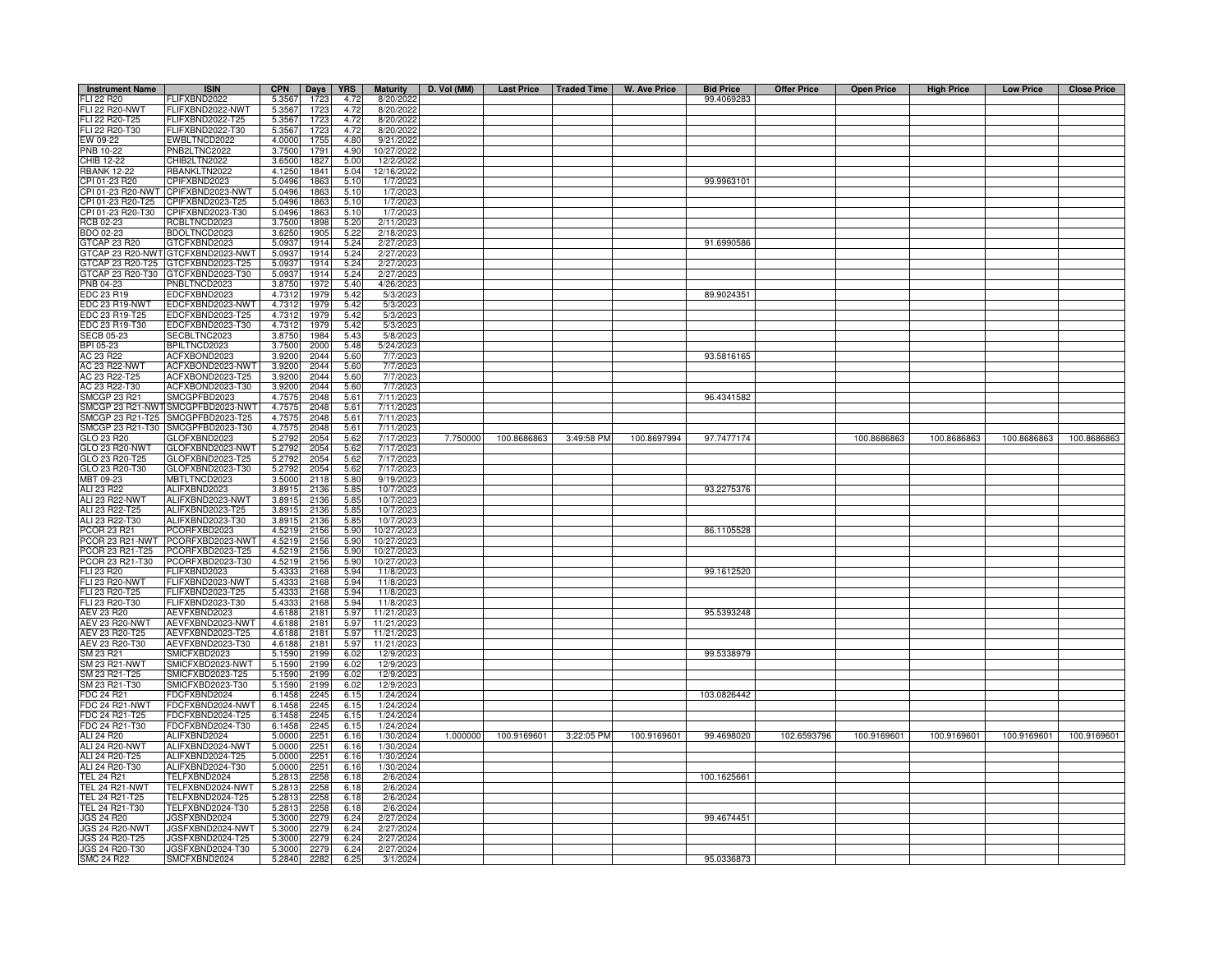| <b>Instrument Name</b>                         | <b>ISIN</b>                          | <b>CPN</b> | Days         | <b>YRS</b> | <b>Maturity</b>        | D. Vol (MM) |             |            | Last Price   Traded Time   W. Ave Price | <b>Bid Price</b> | <b>Offer Price</b> | <b>Open Price</b> | <b>High Price</b> | <b>Low Price</b> | <b>Close Price</b> |
|------------------------------------------------|--------------------------------------|------------|--------------|------------|------------------------|-------------|-------------|------------|-----------------------------------------|------------------|--------------------|-------------------|-------------------|------------------|--------------------|
| FLI 22 R20                                     | FLIFXBND2022                         | 5.3567     | 1723         | 4.72       | 8/20/2022              |             |             |            |                                         | 99.4069283       |                    |                   |                   |                  |                    |
| <b>FLI 22 R20-NWT</b>                          | FLIFXBND2022-NWT                     | 5.3567     | 1723         | 4.72       | 8/20/2022              |             |             |            |                                         |                  |                    |                   |                   |                  |                    |
| FLI 22 R20-T25                                 | -LIFXBND2022-T25                     | 5.3567     | 1723         | 4.72       | 8/20/2022              |             |             |            |                                         |                  |                    |                   |                   |                  |                    |
| FLI 22 R20-T30                                 | FLIFXBND2022-T30                     | 5.3567     | 1723         | 4.72       | 8/20/202               |             |             |            |                                         |                  |                    |                   |                   |                  |                    |
| EW 09-22                                       | EWBLTNCD2022                         | 4.0000     | 1755         | 4.80       | 9/21/202               |             |             |            |                                         |                  |                    |                   |                   |                  |                    |
| PNB 10-22                                      | PNB2LTNC2022                         | 3.7500     | 1791         | 4.90       | 10/27/202              |             |             |            |                                         |                  |                    |                   |                   |                  |                    |
| CHIB 12-22                                     | CHIB2LTN2022                         | 3.6500     | 182          | 5.00       | 12/2/202               |             |             |            |                                         |                  |                    |                   |                   |                  |                    |
| <b>RBANK 12-22</b>                             | <b>BANKLTN2022</b>                   | 4.1250     | 1841         | 5.04       | 12/16/202              |             |             |            |                                         |                  |                    |                   |                   |                  |                    |
| CPI 01-23 R20                                  | CPIFXBND2023                         | 5.0496     | 186          | 5.10       | 1/7/202                |             |             |            |                                         | 99.9963101       |                    |                   |                   |                  |                    |
| CPI 01-23 R20-NWT                              | CPIFXBND2023-NWT                     | 5.0496     | 186          | 5.10       | 1/7/202                |             |             |            |                                         |                  |                    |                   |                   |                  |                    |
| PI 01-23 R20-T25                               | PIFXBND2023-T25                      | 5.0496     | 186          | 5.10       | 1/7/202                |             |             |            |                                         |                  |                    |                   |                   |                  |                    |
| PI 01-23 R20-T30                               | CPIFXBND2023-T30                     | 5.0496     | 186          | 5.10       | 1/7/202                |             |             |            |                                         |                  |                    |                   |                   |                  |                    |
| RCB 02-23                                      | RCBLTNCD2023                         | 3.7500     | 1898         | 5.20       | 2/11/2023              |             |             |            |                                         |                  |                    |                   |                   |                  |                    |
| BDO 02-23                                      | BDOLTNCD2023                         | 3.6250     | 1905         | 5.22       | 2/18/2023              |             |             |            |                                         |                  |                    |                   |                   |                  |                    |
| GTCAP 23 R20                                   | GTCFXBND2023                         | 5.0937     | 1914         | 5.24       | 2/27/202               |             |             |            |                                         | 91.6990586       |                    |                   |                   |                  |                    |
| GTCAP 23 R20-NWT                               | GTCFXBND2023-NWT                     | 5.0937     | 1914         | 5.24       | 2/27/202               |             |             |            |                                         |                  |                    |                   |                   |                  |                    |
| GTCAP 23 R20-T25                               | GTCFXBND2023-T25                     | 5.0937     | 1914         | 5.24       | 2/27/202               |             |             |            |                                         |                  |                    |                   |                   |                  |                    |
| GTCAP 23 R20-T30                               | GTCFXBND2023-T30                     | 5.0937     | 1914         | 5.24       | 2/27/202               |             |             |            |                                         |                  |                    |                   |                   |                  |                    |
| PNB 04-23                                      | PNBLTNCD2023                         | 3.8750     | 1972         | 5.40       | 4/26/202               |             |             |            |                                         |                  |                    |                   |                   |                  |                    |
| <b>EDC 23 R19</b>                              | EDCFXBND2023                         | 4.7312     | 1979         | 5.42       | 5/3/202                |             |             |            |                                         | 89.9024351       |                    |                   |                   |                  |                    |
| EDC 23 R19-NWT                                 | EDCFXBND2023-NWT                     | 4.7312     | 1979         | 5.42       | 5/3/202                |             |             |            |                                         |                  |                    |                   |                   |                  |                    |
| EDC 23 R19-T25                                 | EDCFXBND2023-T25                     | 4.7312     | 1979         | 5.42       | 5/3/202                |             |             |            |                                         |                  |                    |                   |                   |                  |                    |
| EDC 23 R19-T30                                 | EDCFXBND2023-T30                     | 4.7312     | 1979         | 5.42       | 5/3/202                |             |             |            |                                         |                  |                    |                   |                   |                  |                    |
| <b>SECB 05-23</b>                              | <b>SECBLTNC2023</b>                  | 3.8750     | 1984         | 5.43       | 5/8/202                |             |             |            |                                         |                  |                    |                   |                   |                  |                    |
| BPI 05-23                                      | BPILTNCD2023                         | 3.7500     | 2000         | 5.48       | 5/24/202               |             |             |            |                                         |                  |                    |                   |                   |                  |                    |
| AC 23 R22                                      | ACFXBOND2023                         | 3.9200     | 2044         | 5.60       | 7/7/202                |             |             |            |                                         | 93.5816165       |                    |                   |                   |                  |                    |
| AC 23 R22-NWT                                  | ACFXBOND2023-NWT                     | 3.9200     | 2044         | 5.60       | 7/7/202                |             |             |            |                                         |                  |                    |                   |                   |                  |                    |
| AC 23 R22-T25                                  | ACFXBOND2023-T25                     | 3.9200     | 2044         | 5.60       | 7/7/202                |             |             |            |                                         |                  |                    |                   |                   |                  |                    |
| AC 23 R22-T30                                  | ACFXBOND2023-T30                     | 3.9200     | 2044         | 5.60       | 7/7/202                |             |             |            |                                         |                  |                    |                   |                   |                  |                    |
| <b>SMCGP 23 R21</b>                            | MCGPFBD2023                          | 4.7575     | 2048         | 5.61       | 7/11/202               |             |             |            |                                         | 96.4341582       |                    |                   |                   |                  |                    |
| SMCGP 23 R21-NWT                               | MCGPFBD2023-NWT                      | 4.7575     | 2048         | 5.61       | 7/11/202               |             |             |            |                                         |                  |                    |                   |                   |                  |                    |
| SMCGP 23 R21-T25                               | MCGPFBD2023-T25                      | 4.7575     | 2048         | 5.61       | 7/11/202               |             |             |            |                                         |                  |                    |                   |                   |                  |                    |
| SMCGP 23 R21-T30                               | MCGPFBD2023-T30                      | 4.7575     | 2048         | 5.61       | 7/11/202               |             |             |            |                                         |                  |                    |                   |                   |                  |                    |
| GLO 23 R20                                     | <b>LOFXBND2023</b>                   | 5.2792     | 2054         | 5.62       | 7/17/202               | 7.750000    | 100.8686863 | 3:49:58 PM | 100.8697994                             | 97.7477174       |                    | 100.8686863       | 100.8686863       | 100.8686863      | 100.8686863        |
| GLO 23 R20-NWT                                 | GLOFXBND2023-NWT                     | 5.2792     | 2054         | 5.62       | 7/17/202               |             |             |            |                                         |                  |                    |                   |                   |                  |                    |
| GLO 23 R20-T25                                 | GLOFXBND2023-T25                     | 5.2792     | 2054         | 5.62       | 7/17/202               |             |             |            |                                         |                  |                    |                   |                   |                  |                    |
| GLO 23 R20-T30                                 | GLOFXBND2023-T30                     | 5.279      | 2054         | 5.62       | 7/17/202               |             |             |            |                                         |                  |                    |                   |                   |                  |                    |
| MBT 09-23                                      | MBTLTNCD2023                         | 3.5000     | 2118         | 5.80       | 9/19/202               |             |             |            |                                         |                  |                    |                   |                   |                  |                    |
| ALI 23 R22                                     | ALIFXBND2023                         | 3.891      | 2136         | 5.85       | 10/7/202               |             |             |            |                                         | 93.2275376       |                    |                   |                   |                  |                    |
| ALI 23 R22-NWT                                 | ALIFXBND2023-NWT                     | 3.8915     | 2136         | 5.85       | 10/7/2023              |             |             |            |                                         |                  |                    |                   |                   |                  |                    |
| ALI 23 R22-T25                                 | ALIFXBND2023-T25                     | 3.8915     | 2136         | 5.85       | 10/7/2023              |             |             |            |                                         |                  |                    |                   |                   |                  |                    |
| ALI 23 R22-T30                                 | ALIFXBND2023-T30                     | 3.8915     | 2136         | 5.85       | 10/7/202               |             |             |            |                                         |                  |                    |                   |                   |                  |                    |
| <b>COR 23 R21</b>                              | PCORFXBD2023                         | 4.5219     | 2156         | 5.90       | 10/27/202              |             |             |            |                                         | 86.1105528       |                    |                   |                   |                  |                    |
| <b>PCOR 23 R21-NWT</b>                         | CORFXBD2023-NWT                      | 4.5219     | 2156         | 5.90       | 10/27/202              |             |             |            |                                         |                  |                    |                   |                   |                  |                    |
| COR 23 R21-T25                                 | PCORFXBD2023-T25                     | 4.5219     | 2156         | 5.90       | 10/27/202              |             |             |            |                                         |                  |                    |                   |                   |                  |                    |
| COR 23 R21-T30                                 | CORFXBD2023-T30                      | 4.5219     | 2156         | 5.90       | 10/27/202              |             |             |            |                                         |                  |                    |                   |                   |                  |                    |
| FLI 23 R20                                     | <b>ELIFXBND2023</b>                  | 5.4333     | 2168         | 5.94       | 11/8/202               |             |             |            |                                         | 99.1612520       |                    |                   |                   |                  |                    |
| <b>FLI 23 R20-NWT</b>                          | -LIFXBND2023-NWT                     | 5.4333     | 2168         | 5.94       | 11/8/202               |             |             |            |                                         |                  |                    |                   |                   |                  |                    |
| FLI 23 R20-T25                                 | -LIFXBND2023-T25                     | 5.4333     | 2168         | 5.94       | 11/8/202               |             |             |            |                                         |                  |                    |                   |                   |                  |                    |
| FLI 23 R20-T30                                 | -LIFXBND2023-T30                     | 5.4333     | 2168         | 5.94       | 11/8/202               |             |             |            |                                         |                  |                    |                   |                   |                  |                    |
| AEV 23 R20                                     | AEVFXBND2023                         | 4.6188     | 2181         | 5.97       | 11/21/202              |             |             |            |                                         | 95.5393248       |                    |                   |                   |                  |                    |
| AEV 23 R20-NWT                                 | AEVFXBND2023-NWT                     | 4.6188     | 2181         | 5.97       | 11/21/202              |             |             |            |                                         |                  |                    |                   |                   |                  |                    |
| AEV 23 R20-T25                                 | AEVFXBND2023-T25                     | 4.6188     | 2181         | 5.97       | 11/21/2023             |             |             |            |                                         |                  |                    |                   |                   |                  |                    |
| AEV 23 R20-T30                                 | AEVFXBND2023-T30                     | 4.6188     | 2181         | 5.97       | 11/21/202              |             |             |            |                                         |                  |                    |                   |                   |                  |                    |
| SM 23 R21                                      | MICFXBD2023                          | 5.1590     | 2199         | 6.02       | 12/9/202               |             |             |            |                                         | 99.5338979       |                    |                   |                   |                  |                    |
| SM 23 R21-NWT                                  | MICFXBD2023-NWT                      | 5.1590     | 2199         | 6.02       | 12/9/202               |             |             |            |                                         |                  |                    |                   |                   |                  |                    |
| SM 23 R21-T25                                  | MICFXBD2023-T25                      | 5.1590     | 2199         | 6.02       | 12/9/202               |             |             |            |                                         |                  |                    |                   |                   |                  |                    |
| SM 23 R21-T30                                  | MICFXBD2023-T30                      | 5.1590     | 2199         | 6.02       | 12/9/202               |             |             |            |                                         |                  |                    |                   |                   |                  |                    |
| FDC 24 R21                                     | FDCFXBND2024                         | 6.1458     | 2245         | 6.15       | 1/24/2024              |             |             |            |                                         | 103.0826442      |                    |                   |                   |                  |                    |
| <b>FDC 24 R21-NWT</b>                          | FDCFXBND2024-NWT                     | 6.1458     | 2245         | 6.15       | 1/24/2024              |             |             |            |                                         |                  |                    |                   |                   |                  |                    |
| FDC 24 R21-T25                                 | FDCFXBND2024-T25                     | 6.1458     | 2245         | 6.15       | 1/24/2024              |             |             |            |                                         |                  |                    |                   |                   |                  |                    |
| FDC 24 R21-T30                                 | DCFXBND2024-T30                      | 6.1458     | 2245         | 6.15       | 1/24/2024              |             |             |            |                                         |                  |                    |                   |                   |                  |                    |
| ALI 24 R20                                     | ALIFXBND2024                         | 5.0000     | 2251         | 6.16       | 1/30/2024              | 1.000000    | 100.9169601 | 3:22:05 PM | 100.9169601                             | 99.4698020       | 102.6593796        | 100.9169601       | 100.9169601       | 100.9169601      | 100.9169601        |
| ALI 24 R20-NWT                                 | ALIFXBND2024-NWT                     | 5.0000     | 2251         | 6.16       | 1/30/2024              |             |             |            |                                         |                  |                    |                   |                   |                  |                    |
| ALI 24 R20-T25                                 | ALIFXBND2024-T25                     | 5.0000     | 2251         | 6.16       | 1/30/2024              |             |             |            |                                         |                  |                    |                   |                   |                  |                    |
| ALI 24 R20-T30                                 | ALIFXBND2024-T30                     | 5.0000     | 2251         | 6.16       | 1/30/2024              |             |             |            |                                         |                  |                    |                   |                   |                  |                    |
| <b>TEL 24 R21</b>                              | TELFXBND2024                         | 5.2813     | 2258         | 6.18       | 2/6/2024               |             |             |            |                                         | 100.1625661      |                    |                   |                   |                  |                    |
| <b>TEL 24 R21-NWT</b>                          | TELFXBND2024-NWT                     | 5.2813     | 2258         | 6.18       | 2/6/2024               |             |             |            |                                         |                  |                    |                   |                   |                  |                    |
| TEL 24 R21-T25                                 | TELFXBND2024-T25                     | 5.2813     | 2258         | 6.18       | 2/6/2024               |             |             |            |                                         |                  |                    |                   |                   |                  |                    |
| TEL 24 R21-T30                                 | TELFXBND2024-T30                     | 5.2813     | 2258         | 6.18       | 2/6/2024               |             |             |            |                                         |                  |                    |                   |                   |                  |                    |
| <b>JGS 24 R20</b>                              | JGSFXBND2024                         | 5.3000     | 2279         | 6.24       | 2/27/2024              |             |             |            |                                         | 99.4674451       |                    |                   |                   |                  |                    |
| <b>JGS 24 R20-NWT</b><br><b>JGS 24 R20-T25</b> | JGSFXBND2024-NWT<br>JGSFXBND2024-T25 | 5.3000     | 2279<br>2279 | 6.24       | 2/27/2024<br>2/27/2024 |             |             |            |                                         |                  |                    |                   |                   |                  |                    |
|                                                |                                      | 5.3000     |              | 6.24       |                        |             |             |            |                                         |                  |                    |                   |                   |                  |                    |
| JGS 24 R20-T30                                 | JGSFXBND2024-T30                     | 5.3000     | 2279         | 6.24       | 2/27/202               |             |             |            |                                         |                  |                    |                   |                   |                  |                    |
| <b>SMC 24 R22</b>                              | SMCFXBND2024                         | 5.2840     | 2282         | 6.25       | 3/1/2024               |             |             |            |                                         | 95.0336873       |                    |                   |                   |                  |                    |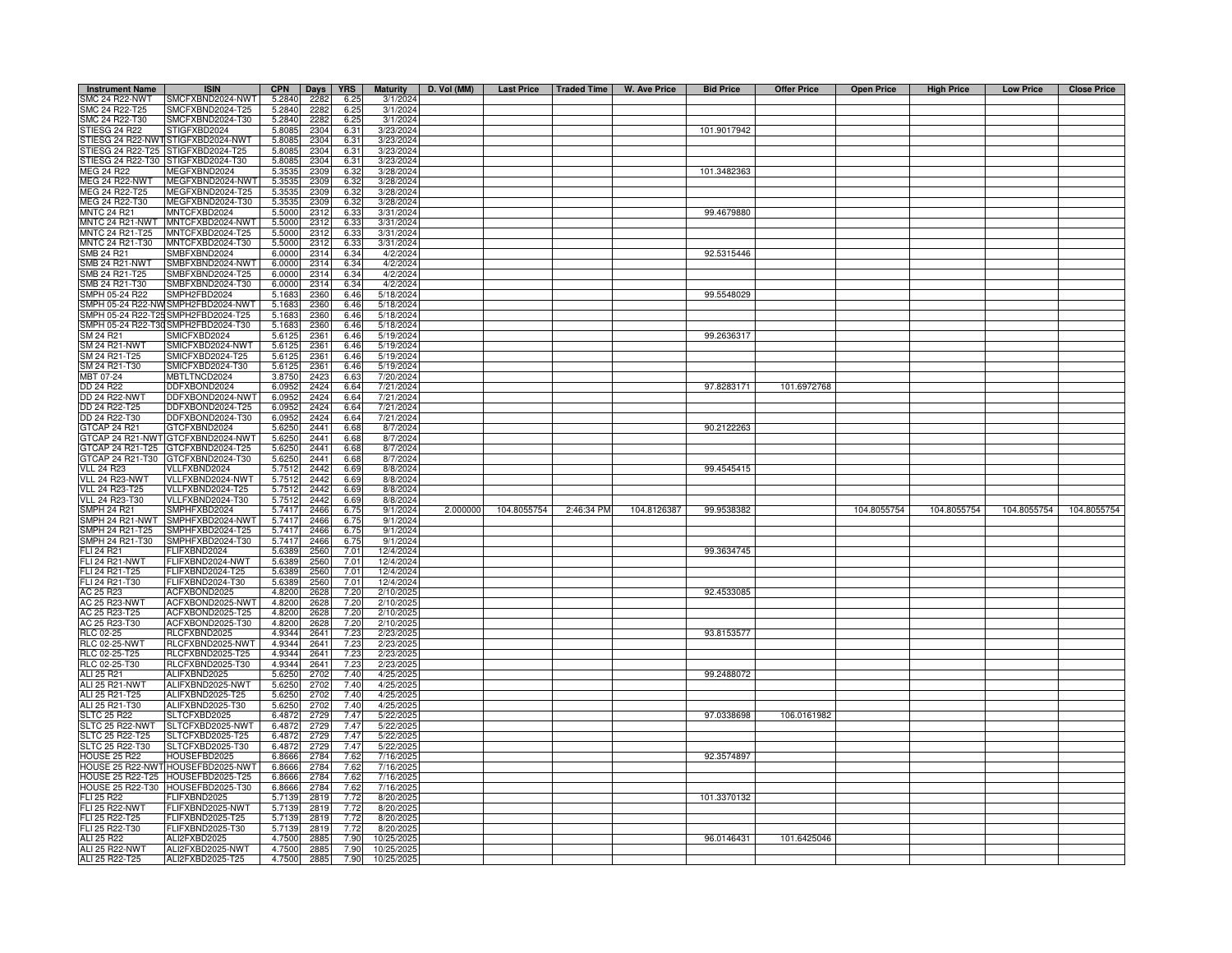| <b>Instrument Name</b>            | <b>ISIN</b>                          | <b>CPN</b>       | Days         | <b>YRS</b>   | <b>Maturity</b>        | D. Vol (MM) |             |            | Last Price   Traded Time   W. Ave Price | <b>Bid Price</b> | <b>Offer Price</b> | <b>Open Price</b> | <b>High Price</b> | <b>Low Price</b> | <b>Close Price</b> |
|-----------------------------------|--------------------------------------|------------------|--------------|--------------|------------------------|-------------|-------------|------------|-----------------------------------------|------------------|--------------------|-------------------|-------------------|------------------|--------------------|
| SMC 24 R22-NWT                    | SMCFXBND2024-NWT                     | 5.2840           | 2282         | 6.25         | 3/1/2024               |             |             |            |                                         |                  |                    |                   |                   |                  |                    |
| SMC 24 R22-T25                    | SMCFXBND2024-T25                     | 5.2840           | 2282         | 6.25         | 3/1/2024               |             |             |            |                                         |                  |                    |                   |                   |                  |                    |
| SMC 24 R22-T30                    | SMCFXBND2024-T30                     | 5.2840           | 2282         | 6.25         | 3/1/2024               |             |             |            |                                         |                  |                    |                   |                   |                  |                    |
| STIESG 24 R22                     | STIGFXBD2024                         | 5.8085           | 2304         | 6.31         | 3/23/2024              |             |             |            |                                         | 101.9017942      |                    |                   |                   |                  |                    |
|                                   | STIESG 24 R22-NWT STIGFXBD2024-NWT   | 5.8085           | 2304         | 6.31         | 3/23/2024              |             |             |            |                                         |                  |                    |                   |                   |                  |                    |
|                                   | STIESG 24 R22-T25 STIGFXBD2024-T25   | 5.8085           | 2304         | 6.31         | 3/23/2024              |             |             |            |                                         |                  |                    |                   |                   |                  |                    |
| STIESG 24 R22-T30                 | STIGFXBD2024-T30                     | 5.808            | 2304         | 6.31         | 3/23/2024              |             |             |            |                                         |                  |                    |                   |                   |                  |                    |
| MEG 24 R22                        | <b>JEGFXBND2024</b>                  | 5.3535           | 2309         | 6.32         | 3/28/2024              |             |             |            |                                         | 101.3482363      |                    |                   |                   |                  |                    |
| <b>MEG 24 R22-NWT</b>             | MEGFXBND2024-NWT                     | 5.353            | 2309         | 6.32         | 3/28/2024              |             |             |            |                                         |                  |                    |                   |                   |                  |                    |
| MEG 24 R22-T25                    | MEGFXBND2024-T25                     | 5.353            | 2309         | 6.32         | 3/28/2024              |             |             |            |                                         |                  |                    |                   |                   |                  |                    |
| MEG 24 R22-T30                    | MEGFXBND2024-T30                     | 5.3535           | 2309         | 6.32         | 3/28/2024              |             |             |            |                                         |                  |                    |                   |                   |                  |                    |
| <b>MNTC 24 R21</b>                | MNTCFXBD2024                         | 5.5000           | 2312         | 6.33         | 3/31/2024              |             |             |            |                                         | 99.4679880       |                    |                   |                   |                  |                    |
| <b>MNTC 24 R21-NWT</b>            | MNTCFXBD2024-NWT                     | 5.5000           | 2312         | 6.33         | 3/31/2024              |             |             |            |                                         |                  |                    |                   |                   |                  |                    |
| MNTC 24 R21-T25                   | MNTCFXBD2024-T25                     | 5.5000           | 2312         | 6.33         | 3/31/2024              |             |             |            |                                         |                  |                    |                   |                   |                  |                    |
| MNTC 24 R21-T30                   | MNTCFXBD2024-T30                     | 5.5000           | 2312         | 6.33         | 3/31/2024              |             |             |            |                                         |                  |                    |                   |                   |                  |                    |
| SMB 24 R21                        | SMBFXBND2024                         | 6.0000           | 2314         | 6.34         | 4/2/2024               |             |             |            |                                         | 92.5315446       |                    |                   |                   |                  |                    |
| SMB 24 R21-NWT                    | SMBFXBND2024-NWT                     | 6.0000           | 2314         | 6.34         | 4/2/2024               |             |             |            |                                         |                  |                    |                   |                   |                  |                    |
| SMB 24 R21-T25<br>MB 24 R21-T30   | SMBFXBND2024-T25                     | 6.0000           | 2314         | 6.34         | 4/2/2024               |             |             |            |                                         |                  |                    |                   |                   |                  |                    |
| SMPH 05-24 R22                    | SMBFXBND2024-T30<br>SMPH2FBD2024     | 6.000            | 2314         | 6.34         | 4/2/2024               |             |             |            |                                         |                  |                    |                   |                   |                  |                    |
| MPH 05-24 R22-NV                  | SMPH2FBD2024-NWT                     | 5.168<br>5.168   | 2360         | 6.46<br>6.46 | 5/18/2024<br>5/18/2024 |             |             |            |                                         | 99.5548029       |                    |                   |                   |                  |                    |
| SMPH 05-24 R22-T25                | SMPH2FBD2024-T25                     | 5.1683           | 2360         | 6.46         | 5/18/2024              |             |             |            |                                         |                  |                    |                   |                   |                  |                    |
|                                   | MPH 05-24 R22-T30SMPH2FBD2024-T30    | 5.1683           | 2360<br>2360 | 6.46         | 5/18/2024              |             |             |            |                                         |                  |                    |                   |                   |                  |                    |
| SM 24 R21                         | SMICFXBD2024                         | 5.6125           | 2361         | 6.46         | 5/19/2024              |             |             |            |                                         | 99.2636317       |                    |                   |                   |                  |                    |
| SM 24 R21-NWT                     | SMICFXBD2024-NWT                     | 5.6125           | 2361         | 6.46         | 5/19/2024              |             |             |            |                                         |                  |                    |                   |                   |                  |                    |
| SM 24 R21-T25                     | SMICFXBD2024-T25                     | 5.6125           | 2361         | 6.46         | 5/19/2024              |             |             |            |                                         |                  |                    |                   |                   |                  |                    |
| SM 24 R21-T30                     | SMICFXBD2024-T30                     | 5.6125           | 2361         | 6.46         | 5/19/2024              |             |             |            |                                         |                  |                    |                   |                   |                  |                    |
| MBT 07-24                         | MBTLTNCD2024                         | 3.8750           | 2423         | 6.63         | 7/20/2024              |             |             |            |                                         |                  |                    |                   |                   |                  |                    |
| DD 24 R22                         | DDFXBOND2024                         | 6.095            | 2424         | 6.64         | 7/21/2024              |             |             |            |                                         | 97.8283171       | 101.6972768        |                   |                   |                  |                    |
| <b>DD 24 R22-NWT</b>              | DDFXBOND2024-NWT                     | 6.095            | 2424         | 6.64         | 7/21/2024              |             |             |            |                                         |                  |                    |                   |                   |                  |                    |
| DD 24 R22-T25                     | DDFXBOND2024-T25                     | 6.095            | 2424         | 6.64         | 7/21/2024              |             |             |            |                                         |                  |                    |                   |                   |                  |                    |
| DD 24 R22-T30                     | DDFXBOND2024-T30                     | 6.095            | 2424         | 6.64         | 7/21/2024              |             |             |            |                                         |                  |                    |                   |                   |                  |                    |
| GTCAP 24 R21                      | GTCFXBND2024                         | 5.6250           | 2441         | 6.68         | 8/7/2024               |             |             |            |                                         | 90.2122263       |                    |                   |                   |                  |                    |
|                                   | GTCAP 24 R21-NWT GTCFXBND2024-NWT    | 5.6250           | 2441         | 6.68         | 8/7/2024               |             |             |            |                                         |                  |                    |                   |                   |                  |                    |
| GTCAP 24 R21-T25                  | GTCFXBND2024-T25                     | 5.6250           | 2441         | 6.68         | 8/7/2024               |             |             |            |                                         |                  |                    |                   |                   |                  |                    |
| GTCAP 24 R21-T30                  | GTCFXBND2024-T30                     | 5.6250           | 2441         | 6.68         | 8/7/2024               |             |             |            |                                         |                  |                    |                   |                   |                  |                    |
| <b>VLL 24 R23</b>                 | VLLFXBND2024                         | 5.751            | 2442         | 6.69         | 8/8/2024               |             |             |            |                                         | 99.4545415       |                    |                   |                   |                  |                    |
| VLL 24 R23-NWT                    | VLLFXBND2024-NWT                     | 5.7512           | 2442         | 6.69         | 8/8/2024               |             |             |            |                                         |                  |                    |                   |                   |                  |                    |
| <b>VLL 24 R23-T25</b>             | VLLFXBND2024-T25                     | 5.7512           | 2442         | 6.69         | 8/8/2024               |             |             |            |                                         |                  |                    |                   |                   |                  |                    |
| VLL 24 R23-T30                    | VLLFXBND2024-T30                     | 5.7512           | 2442         | 6.69         | 8/8/2024               |             |             |            |                                         |                  |                    |                   |                   |                  |                    |
| <b>SMPH 24 R21</b>                | SMPHFXBD2024                         | 5.7417           | 2466         | 6.75         | 9/1/2024               | 2.000000    | 104.8055754 | 2:46:34 PM | 104.8126387                             | 99.9538382       |                    | 104.8055754       | 104.8055754       | 104.8055754      | 104.8055754        |
| SMPH 24 R21-NWT                   | SMPHFXBD2024-NWT                     | 5.7417           | 2466         | 6.75         | 9/1/2024               |             |             |            |                                         |                  |                    |                   |                   |                  |                    |
| MPH 24 R21-T25                    | SMPHFXBD2024-T25                     | 5.741            | 2466         | 6.75         | 9/1/2024               |             |             |            |                                         |                  |                    |                   |                   |                  |                    |
| MPH 24 R21-T30                    | SMPHFXBD2024-T30                     | 5.741            | 2466         | 6.75         | 9/1/2024               |             |             |            |                                         |                  |                    |                   |                   |                  |                    |
| <b>LI 24 R21</b>                  | FLIFXBND2024                         | 5.638            | 2560         | 7.01         | 12/4/2024              |             |             |            |                                         | 99.3634745       |                    |                   |                   |                  |                    |
| <b>FLI 24 R21-NWT</b>             | FLIFXBND2024-NWT                     | 5.638            | 2560         | 7.01         | 12/4/2024              |             |             |            |                                         |                  |                    |                   |                   |                  |                    |
| FLI 24 R21-T25                    | FLIFXBND2024-T25                     | 5.638            | 2560         | 7.01         | 12/4/2024              |             |             |            |                                         |                  |                    |                   |                   |                  |                    |
| FLI 24 R21-T30                    | FLIFXBND2024-T30                     | 5.6389           | 2560         | 7.01         | 12/4/2024              |             |             |            |                                         |                  |                    |                   |                   |                  |                    |
| AC 25 R23<br><b>AC 25 R23-NWT</b> | ACFXBOND2025                         | 4.8200           | 2628         | 7.20         | 2/10/202               |             |             |            |                                         | 92.4533085       |                    |                   |                   |                  |                    |
| AC 25 R23-T25                     | ACFXBOND2025-NWT<br>ACFXBOND2025-T25 | 4.8200<br>4.8200 | 2628         | 7.20<br>7.20 | 2/10/202<br>2/10/202   |             |             |            |                                         |                  |                    |                   |                   |                  |                    |
| AC 25 R23-T30                     | ACFXBOND2025-T30                     | 4.8200           | 2628<br>2628 | 7.20         | 2/10/202               |             |             |            |                                         |                  |                    |                   |                   |                  |                    |
| RLC 02-25                         | RLCFXBND2025                         | 4.9344           | 2641         | 7.23         | 2/23/202               |             |             |            |                                         | 93.8153577       |                    |                   |                   |                  |                    |
| <b>RLC 02-25-NWT</b>              | RLCFXBND2025-NWT                     | 4.9344           | 2641         | 7.23         | 2/23/202               |             |             |            |                                         |                  |                    |                   |                   |                  |                    |
| RLC 02-25-T25                     | RLCFXBND2025-T25                     | 4.9344           | 2641         | 7.23         | 2/23/202               |             |             |            |                                         |                  |                    |                   |                   |                  |                    |
| RLC 02-25-T30                     | RLCFXBND2025-T30                     | 4.9344           | 2641         | 7.23         | 2/23/202               |             |             |            |                                         |                  |                    |                   |                   |                  |                    |
| ALI 25 R21                        | ALIFXBND2025                         | 5.6250           | 2702         | 7.40         | 4/25/202               |             |             |            |                                         | 99.2488072       |                    |                   |                   |                  |                    |
| ALI 25 R21-NWT                    | ALIFXBND2025-NWT                     | 5.6250           | 2702         | 7.40         | 4/25/202               |             |             |            |                                         |                  |                    |                   |                   |                  |                    |
| ALI 25 R21-T25                    | ALIFXBND2025-T25                     | 5.6250           | 2702         | 7.40         | 4/25/202               |             |             |            |                                         |                  |                    |                   |                   |                  |                    |
| ALI 25 R21-T30                    | ALIFXBND2025-T30                     | 5.6250           | 2702         | 7.40         | 4/25/202               |             |             |            |                                         |                  |                    |                   |                   |                  |                    |
| <b>SLTC 25 R22</b>                | SLTCFXBD2025                         | 6.4872           | 2729         | 7.47         | 5/22/202               |             |             |            |                                         | 97.0338698       | 106.0161982        |                   |                   |                  |                    |
| SLTC 25 R22-NWT                   | SLTCFXBD2025-NWT                     | 6.4872           | 2729         | 7.47         | 5/22/202               |             |             |            |                                         |                  |                    |                   |                   |                  |                    |
| SLTC 25 R22-T25                   | SLTCFXBD2025-T25                     | 6.4872           | 2729         | 7.47         | 5/22/2025              |             |             |            |                                         |                  |                    |                   |                   |                  |                    |
| SLTC 25 R22-T30                   | SLTCFXBD2025-T30                     | 6.4872           | 2729         | 7.47         | 5/22/202               |             |             |            |                                         |                  |                    |                   |                   |                  |                    |
| <b>HOUSE 25 R22</b>               | HOUSEFBD2025                         | 6.8666           | 2784         | 7.62         | 7/16/2025              |             |             |            |                                         | 92.3574897       |                    |                   |                   |                  |                    |
|                                   | HOUSE 25 R22-NWT HOUSEFBD2025-NWT    | 6.8666           | 2784         | 7.62         | 7/16/2025              |             |             |            |                                         |                  |                    |                   |                   |                  |                    |
|                                   | HOUSE 25 R22-T25 HOUSEFBD2025-T25    | 6.8666           | 2784         | 7.62         | 7/16/2025              |             |             |            |                                         |                  |                    |                   |                   |                  |                    |
|                                   | HOUSE 25 R22-T30 HOUSEFBD2025-T30    | 6.8666           | 2784         | 7.62         | 7/16/202               |             |             |            |                                         |                  |                    |                   |                   |                  |                    |
| FLI 25 R22                        | FLIFXBND2025                         | 5.7139           | 2819         | 7.72         | 8/20/202               |             |             |            |                                         | 101.3370132      |                    |                   |                   |                  |                    |
| <b>FLI 25 R22-NWT</b>             | FLIFXBND2025-NWT                     | 5.7139           | 2819         | 7.72         | 8/20/202               |             |             |            |                                         |                  |                    |                   |                   |                  |                    |
| FLI 25 R22-T25                    | FLIFXBND2025-T25                     | 5.7139           | 2819         | 7.72         | 8/20/202               |             |             |            |                                         |                  |                    |                   |                   |                  |                    |
| FLI 25 R22-T30                    | FLIFXBND2025-T30                     | 5.713            | 2819         | 7.72         | 8/20/202               |             |             |            |                                         |                  |                    |                   |                   |                  |                    |
| ALI 25 R22                        | ALI2FXBD2025                         | 4.750            | 2885         | 7.90         | 10/25/202              |             |             |            |                                         | 96.0146431       | 101.6425046        |                   |                   |                  |                    |
| <b>ALI 25 R22-NWT</b>             | ALI2FXBD2025-NWT                     | 4.750            | 2885         | 7.90         | 10/25/202              |             |             |            |                                         |                  |                    |                   |                   |                  |                    |
| ALI 25 R22-T25                    | ALI2FXBD2025-T25                     | 4.7500           | 2885         | 7.90         | 10/25/202              |             |             |            |                                         |                  |                    |                   |                   |                  |                    |